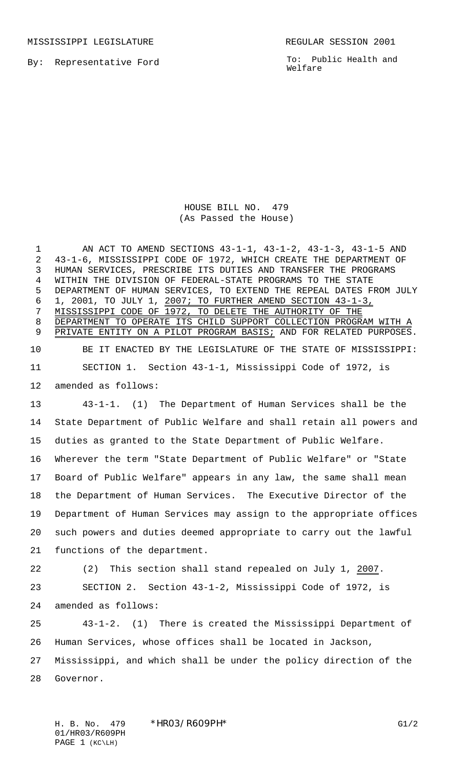By: Representative Ford

MISSISSIPPI LEGISLATURE **REGULAR SESSION 2001** 

To: Public Health and Welfare

## HOUSE BILL NO. 479 (As Passed the House)

 AN ACT TO AMEND SECTIONS 43-1-1, 43-1-2, 43-1-3, 43-1-5 AND 43-1-6, MISSISSIPPI CODE OF 1972, WHICH CREATE THE DEPARTMENT OF HUMAN SERVICES, PRESCRIBE ITS DUTIES AND TRANSFER THE PROGRAMS WITHIN THE DIVISION OF FEDERAL-STATE PROGRAMS TO THE STATE DEPARTMENT OF HUMAN SERVICES, TO EXTEND THE REPEAL DATES FROM JULY 1, 2001, TO JULY 1, 2007; TO FURTHER AMEND SECTION 43-1-3, MISSISSIPPI CODE OF 1972, TO DELETE THE AUTHORITY OF THE 8 DEPARTMENT TO OPERATE ITS CHILD SUPPORT COLLECTION PROGRAM WITH 9 PRIVATE ENTITY ON A PILOT PROGRAM BASIS; AND FOR RELATED PURPOSES. BE IT ENACTED BY THE LEGISLATURE OF THE STATE OF MISSISSIPPI: SECTION 1. Section 43-1-1, Mississippi Code of 1972, is amended as follows: 43-1-1. (1) The Department of Human Services shall be the State Department of Public Welfare and shall retain all powers and duties as granted to the State Department of Public Welfare. Wherever the term "State Department of Public Welfare" or "State Board of Public Welfare" appears in any law, the same shall mean the Department of Human Services. The Executive Director of the Department of Human Services may assign to the appropriate offices such powers and duties deemed appropriate to carry out the lawful functions of the department. (2) This section shall stand repealed on July 1, 2007. SECTION 2. Section 43-1-2, Mississippi Code of 1972, is amended as follows: 43-1-2. (1) There is created the Mississippi Department of Human Services, whose offices shall be located in Jackson, Mississippi, and which shall be under the policy direction of the Governor.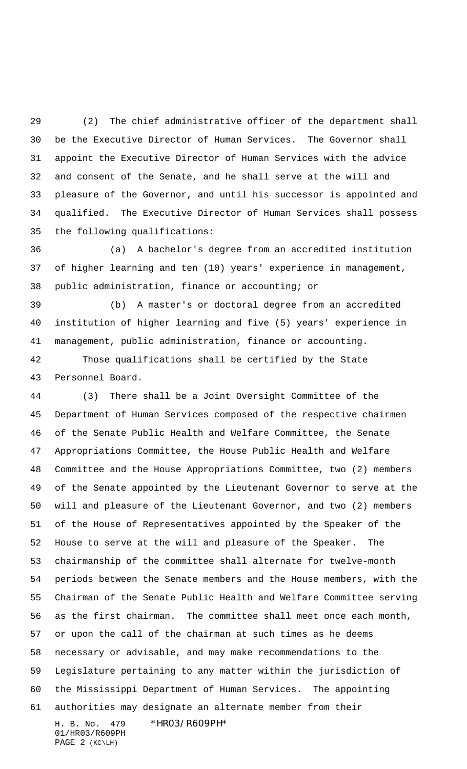(2) The chief administrative officer of the department shall be the Executive Director of Human Services. The Governor shall appoint the Executive Director of Human Services with the advice and consent of the Senate, and he shall serve at the will and pleasure of the Governor, and until his successor is appointed and qualified. The Executive Director of Human Services shall possess the following qualifications:

 (a) A bachelor's degree from an accredited institution of higher learning and ten (10) years' experience in management, public administration, finance or accounting; or

 (b) A master's or doctoral degree from an accredited institution of higher learning and five (5) years' experience in management, public administration, finance or accounting.

 Those qualifications shall be certified by the State Personnel Board.

H. B. No. 479 \*HR03/R609PH\* (3) There shall be a Joint Oversight Committee of the Department of Human Services composed of the respective chairmen of the Senate Public Health and Welfare Committee, the Senate Appropriations Committee, the House Public Health and Welfare Committee and the House Appropriations Committee, two (2) members of the Senate appointed by the Lieutenant Governor to serve at the will and pleasure of the Lieutenant Governor, and two (2) members of the House of Representatives appointed by the Speaker of the House to serve at the will and pleasure of the Speaker. The chairmanship of the committee shall alternate for twelve-month periods between the Senate members and the House members, with the Chairman of the Senate Public Health and Welfare Committee serving as the first chairman. The committee shall meet once each month, or upon the call of the chairman at such times as he deems necessary or advisable, and may make recommendations to the Legislature pertaining to any matter within the jurisdiction of the Mississippi Department of Human Services. The appointing authorities may designate an alternate member from their

01/HR03/R609PH PAGE 2 (KC\LH)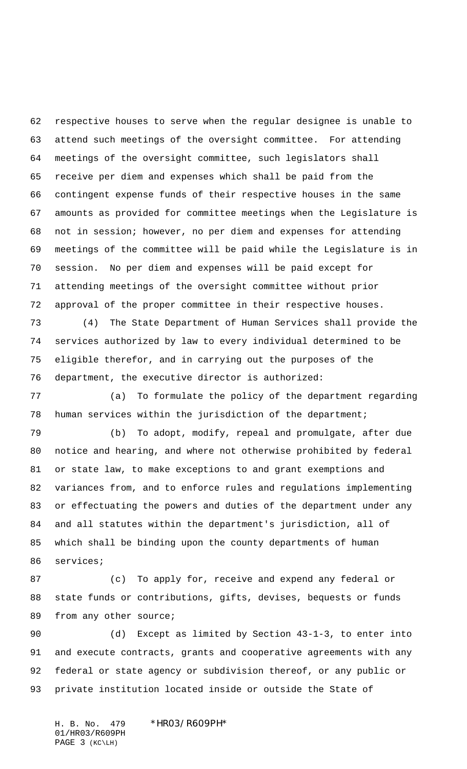respective houses to serve when the regular designee is unable to attend such meetings of the oversight committee. For attending meetings of the oversight committee, such legislators shall receive per diem and expenses which shall be paid from the contingent expense funds of their respective houses in the same amounts as provided for committee meetings when the Legislature is not in session; however, no per diem and expenses for attending meetings of the committee will be paid while the Legislature is in session. No per diem and expenses will be paid except for attending meetings of the oversight committee without prior approval of the proper committee in their respective houses.

 (4) The State Department of Human Services shall provide the services authorized by law to every individual determined to be eligible therefor, and in carrying out the purposes of the department, the executive director is authorized:

 (a) To formulate the policy of the department regarding human services within the jurisdiction of the department;

 (b) To adopt, modify, repeal and promulgate, after due notice and hearing, and where not otherwise prohibited by federal or state law, to make exceptions to and grant exemptions and variances from, and to enforce rules and regulations implementing or effectuating the powers and duties of the department under any and all statutes within the department's jurisdiction, all of which shall be binding upon the county departments of human services;

 (c) To apply for, receive and expend any federal or state funds or contributions, gifts, devises, bequests or funds 89 from any other source;

 (d) Except as limited by Section 43-1-3, to enter into and execute contracts, grants and cooperative agreements with any federal or state agency or subdivision thereof, or any public or private institution located inside or outside the State of

H. B. No. 479 \*HR03/R609PH\* 01/HR03/R609PH PAGE 3 (KC\LH)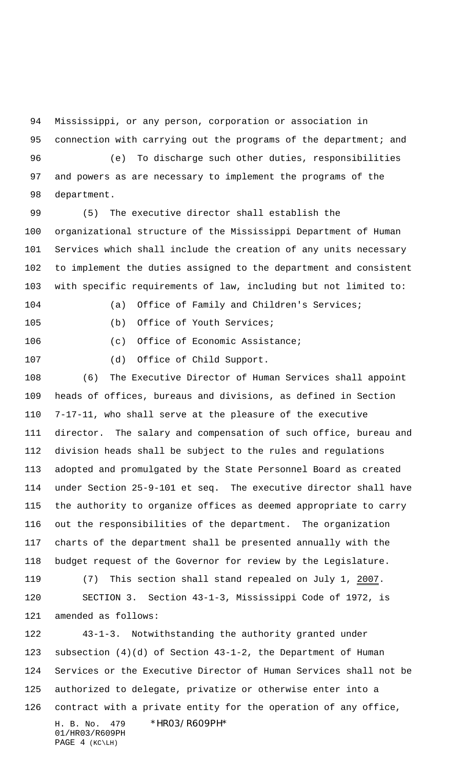Mississippi, or any person, corporation or association in 95 connection with carrying out the programs of the department; and

 (e) To discharge such other duties, responsibilities and powers as are necessary to implement the programs of the department.

 (5) The executive director shall establish the organizational structure of the Mississippi Department of Human Services which shall include the creation of any units necessary to implement the duties assigned to the department and consistent with specific requirements of law, including but not limited to:

(a) Office of Family and Children's Services;

(b) Office of Youth Services;

106 (c) Office of Economic Assistance;

(d) Office of Child Support.

 (6) The Executive Director of Human Services shall appoint heads of offices, bureaus and divisions, as defined in Section 7-17-11, who shall serve at the pleasure of the executive director. The salary and compensation of such office, bureau and division heads shall be subject to the rules and regulations adopted and promulgated by the State Personnel Board as created under Section 25-9-101 et seq. The executive director shall have the authority to organize offices as deemed appropriate to carry out the responsibilities of the department. The organization charts of the department shall be presented annually with the budget request of the Governor for review by the Legislature.

 (7) This section shall stand repealed on July 1, 2007. SECTION 3. Section 43-1-3, Mississippi Code of 1972, is amended as follows:

H. B. No. 479 \*HR03/R609PH\* 01/HR03/R609PH PAGE 4 (KC\LH) 43-1-3. Notwithstanding the authority granted under subsection (4)(d) of Section 43-1-2, the Department of Human Services or the Executive Director of Human Services shall not be authorized to delegate, privatize or otherwise enter into a contract with a private entity for the operation of any office,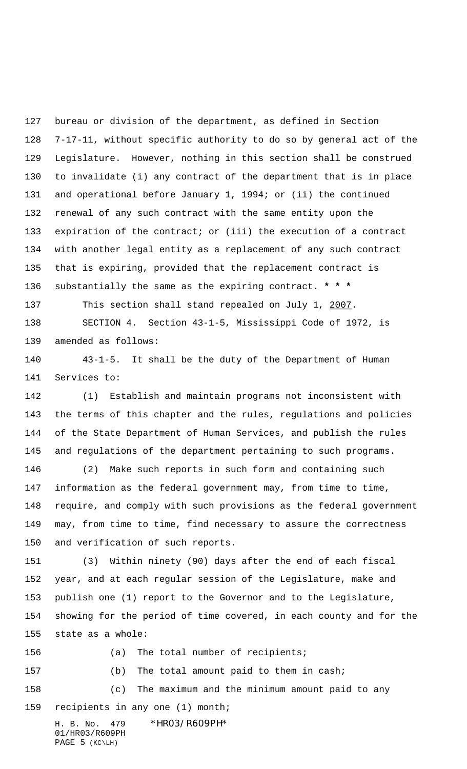bureau or division of the department, as defined in Section 7-17-11, without specific authority to do so by general act of the Legislature. However, nothing in this section shall be construed to invalidate (i) any contract of the department that is in place and operational before January 1, 1994; or (ii) the continued renewal of any such contract with the same entity upon the expiration of the contract; or (iii) the execution of a contract with another legal entity as a replacement of any such contract that is expiring, provided that the replacement contract is substantially the same as the expiring contract. **\* \* \***

137 This section shall stand repealed on July 1, 2007. SECTION 4. Section 43-1-5, Mississippi Code of 1972, is amended as follows:

 43-1-5. It shall be the duty of the Department of Human Services to:

 (1) Establish and maintain programs not inconsistent with the terms of this chapter and the rules, regulations and policies of the State Department of Human Services, and publish the rules and regulations of the department pertaining to such programs.

 (2) Make such reports in such form and containing such information as the federal government may, from time to time, require, and comply with such provisions as the federal government may, from time to time, find necessary to assure the correctness and verification of such reports.

 (3) Within ninety (90) days after the end of each fiscal year, and at each regular session of the Legislature, make and publish one (1) report to the Governor and to the Legislature, showing for the period of time covered, in each county and for the state as a whole:

156 (a) The total number of recipients;

(b) The total amount paid to them in cash;

 (c) The maximum and the minimum amount paid to any recipients in any one (1) month;

H. B. No. 479 \*HR03/R609PH\* 01/HR03/R609PH PAGE 5 (KC\LH)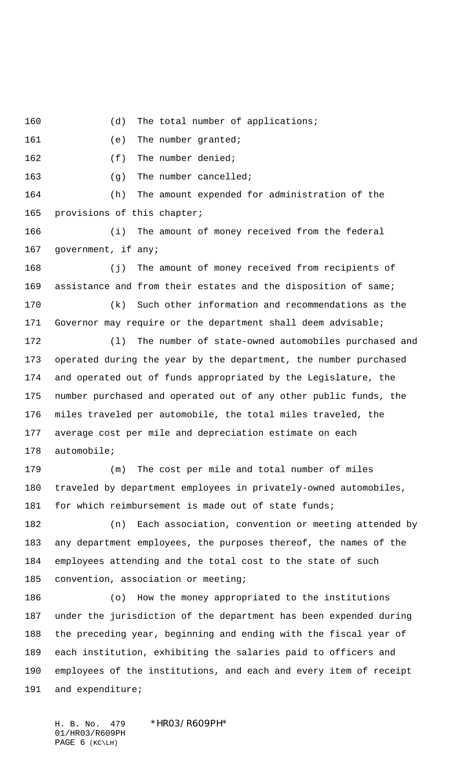160 (d) The total number of applications;

161 (e) The number granted;

162 (f) The number denied;

(g) The number cancelled;

 (h) The amount expended for administration of the provisions of this chapter;

 (i) The amount of money received from the federal 167 government, if any;

 (j) The amount of money received from recipients of assistance and from their estates and the disposition of same; (k) Such other information and recommendations as the

Governor may require or the department shall deem advisable;

 (l) The number of state-owned automobiles purchased and operated during the year by the department, the number purchased and operated out of funds appropriated by the Legislature, the number purchased and operated out of any other public funds, the miles traveled per automobile, the total miles traveled, the average cost per mile and depreciation estimate on each automobile;

 (m) The cost per mile and total number of miles traveled by department employees in privately-owned automobiles, 181 for which reimbursement is made out of state funds;

 (n) Each association, convention or meeting attended by any department employees, the purposes thereof, the names of the employees attending and the total cost to the state of such convention, association or meeting;

 (o) How the money appropriated to the institutions under the jurisdiction of the department has been expended during the preceding year, beginning and ending with the fiscal year of each institution, exhibiting the salaries paid to officers and employees of the institutions, and each and every item of receipt 191 and expenditure;

H. B. No. 479 \*HR03/R609PH\* 01/HR03/R609PH PAGE 6 (KC\LH)